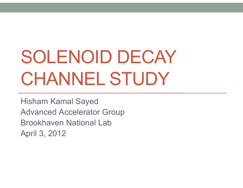# SOLENOID DECAY CHANNEL STUDY

Hisham Kamal Sayed Advanced Accelerator Group Brookhaven National LabApril 3, 2012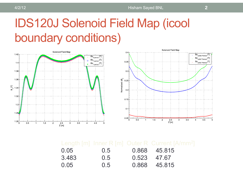### IDS120J Solenoid Field Map (icool boundary conditions)





| 0.05  | $0.5^{\circ}$ |             | 0.868 45.815 |
|-------|---------------|-------------|--------------|
| 3.483 | 0.5           | 0.523 47.67 |              |
| 0.05  | 0.5           |             | 0.868 45.815 |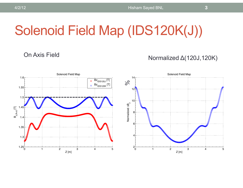## Solenoid Field Map (IDS120K(J))

### On Axis Field

### Normalized ∆(120J,120K)

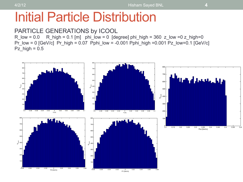### Initial Particle Distribution

### PARTICLE GENERATIONS by ICOOL

 $R_low = 0.0$  R\_high = 0.1 [m] phi\_low = 0 [degree] phi\_high = 360 z\_low = 0 z\_high=0 Pr\_low = 0  $[GeV/c]$  Pr\_high = 0.07 Pphi\_low = -0.001 Pphi\_high =0.001 Pz\_low=0.1  $[GeV/c]$ Pz  $high = 0.5$ 

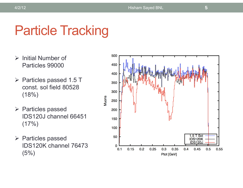## Particle Tracking

- $\triangleright$  Initial Number of Particles 99000
- $\triangleright$  Particles passed 1.5 T const. sol field 80528 (18%)
- $\triangleright$  Particles passed IDS120J channel 66451  $(17%)$
- $\triangleright$  Particles passed IDS120K channel 76473 (5%)

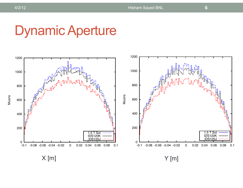### Dynamic Aperture





4/2/12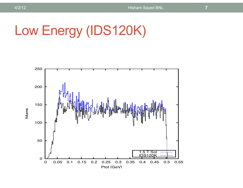## Low Energy (IDS120K)